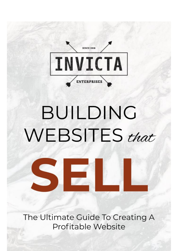**SINCE 2018** INVICTA **ENTERPRISES** 

# BUILDING WEBSITES that



The Ultimate Guide To Creating A Profitable Website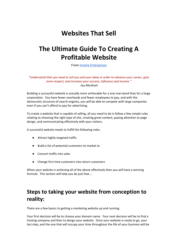## **Websites That Sell**

## **The Ultimate Guide To Creating A Profitable Website**

From [Invicta Enterprises](https://www.invicta.enterprises/)

*"Understand that you need to sell you and your ideas in order to advance your career, gain more respect, and increase your success, influence and income."* -Jay Abraham

Building a successful website is actually more achievable for a one man band than for a large corporation. You have fewer overheads and fewer employees to pay, and with the democratic structure of search engines, you will be able to compete with large companies even if you can't afford to pay for advertising.

To create a website that is capable of selling, all you need to do is follow a few simple rules relating to choosing the right type of site, creating great content, paying attention to page design, and communicating effectively with your visitors.

A successful website needs to fulfill the following roles:

- Attract highly targeted traffic
- Build a list of potential customers to market to
- Convert traffic into sales
- Change first time customers into return customers

When your website is achieving all of the above effectively then you will have a winning formula. This section will help you do just that…

## **Steps to taking your website from conception to reality:**

There are a few basics to getting a marketing website up and running.

Your first decision will be to choose your domain name. Your next decision will be to find a hosting company and then to design your website. Once your website is ready to go, your last step, and the one that will occupy your time throughout the life of your business will be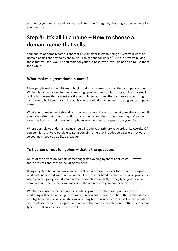promoting your website and driving traffic to it. Let's begin by choosing a domain name for your website.

## **Step #1 It's all in a name – How to choose a domain name that sells.**

Your choice of domain name is another crucial factor in establishing a successful website. Domain names are now fairly cheap, you can get one for under \$10, so it is worth buying those that you feel would be suitable for your business, even if you do not plan to use them for a while.

#### **What makes a great domain name?**

Many people make the mistake of buying a domain name based on their company name. While this can work well for well known high profile brands, it is not a good idea for small online businesses that are just starting out. Unless you can afford a massive advertising campaign to build your brand it is advisable to avoid domain names showing your company name.

What your domain name should do is convey to potential visitors what your site is about. If you have a site that offers parenting advice then a domain such as *parentingadvice.com* would be ideal as it tells people straight away what they can expect from your site.

Where possible your domain name should include your primary keyword, or keywords. Of course it is not always possible to get a domain name that includes very general keywords, so you may need to be a little creative.

#### **To hyphen or not to hyphen – that is the question.**

Much of the advice on domain names suggests avoiding hyphens at all costs. However, there are pros and cons to including hyphens.

Using a hyphen between two keywords will actually make it easier for the search engines to read and understand your domain name. On the other hand, hyphens can cause problems when you are giving your domain name to somebody verbally. If they type your domain name without the hyphens you may send them directly to your competition.

Whether you use hyphens or not depends very much whether your primary form of marketing will be search engine optimization or word of mouth. If both the hyphenated and non-hyphenated versions are still available, buy both. You can always use the hyphenated one to please the search engines, and redirect the non-hyphenated one so that visitors that type this still arrive at your site as well.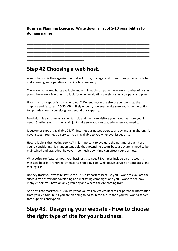### **Business Planning Exercise: Write down a list of 5-10 possibilities for domain names.**

\_\_\_\_\_\_\_\_\_\_\_\_\_\_\_\_\_\_\_\_\_\_\_\_\_\_\_\_\_\_\_\_\_\_\_\_\_\_\_\_\_\_\_\_\_\_\_\_\_\_\_\_\_\_\_\_\_\_\_\_\_\_\_\_\_\_\_\_\_\_\_\_\_\_\_ \_\_\_\_\_\_\_\_\_\_\_\_\_\_\_\_\_\_\_\_\_\_\_\_\_\_\_\_\_\_\_\_\_\_\_\_\_\_\_\_\_\_\_\_\_\_\_\_\_\_\_\_\_\_\_\_\_\_\_\_\_\_\_\_\_\_\_\_\_\_\_\_\_\_\_ \_\_\_\_\_\_\_\_\_\_\_\_\_\_\_\_\_\_\_\_\_\_\_\_\_\_\_\_\_\_\_\_\_\_\_\_\_\_\_\_\_\_\_\_\_\_\_\_\_\_\_\_\_\_\_\_\_\_\_\_\_\_\_\_\_\_\_\_\_\_\_\_\_\_\_ \_\_\_\_\_\_\_\_\_\_\_\_\_\_\_\_\_\_\_\_\_\_\_\_\_\_\_\_\_\_\_\_\_\_\_\_\_\_\_\_\_\_\_\_\_\_\_\_\_\_\_\_\_\_\_\_\_\_\_\_\_\_\_\_\_\_\_\_\_\_\_\_\_\_\_

## **Step #2 Choosing a web host.**

\_\_\_\_\_\_\_\_\_\_\_\_\_\_\_\_\_\_\_\_\_\_\_\_\_\_\_\_\_\_\_\_\_\_\_

A website host is the organization that will store, manage, and often times provide tools to make owning and operating an online business easy.

There are many web hosts available and within each company there are a number of hosting plans. Here are a few things to look for when evaluating a web hosting company and plan.

How much disk space is available to you? Depending on the size of your website, the graphics and features. 25-50 MB is likely enough, however, make sure you have the option to upgrade should your site grow beyond this capacity.

Bandwidth is also a measurable statistic and the more visitors you have, the more you'll need. Starting small is fine, again just make sure you can upgrade when you need to.

Is customer support available 24/7? Internet businesses operate all day and all night long, it never stops. You need a service that is available to you whenever issues arise.

How reliable is the hosting service? It is important to evaluate the up-time of each host you're considering. It is understandable that downtime occurs because systems need to be maintained and upgraded; however, too much downtime can affect your business.

What software features does your business site need? Examples include email accounts, message boards, FrontPage Extensions, shopping cart, web design service or templates, and mailing lists.

Do they track your website statistics? This is important because you'll want to evaluate the success rate of various advertising and marketing campaigns and you'll want to see how many visitors you have on any given day and where they're coming from.

As an affiliate marketer, it's unlikely that you will collect credit cards or personal information from your visitors, but if you are planning to do so in the future then you will want a server that supports encryption.

## **Step #3. Designing your website - How to choose the right type of site for your business.**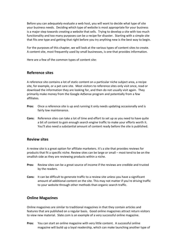Before you can adequately evaluate a web host, you will want to decide what type of site your business needs. Deciding which type of website is most appropriate for your business is a major step towards creating a website that sells. Trying to develop a site with too much functionality and too many purposes can be a recipe for disaster. Starting with a simple site that fits one type and getting that right before you try anything new is the best way to begin.

For the purposes of this chapter, we will look at the various types of content sites to create. A content site, most frequently used by small businesses, is one that provides information.

Here are a few of the common types of content site:

#### **Reference sites**

A reference site contains a lot of static content on a particular niche subject area, a recipe site, for example, or a pet care site. Most visitors to reference sites only visit once, read or download the information they are looking for, and then do not usually visit again. They primarily make money from the Google AdSense program and potentially from a few affiliates.

- **Pros:** Once a reference site is up and running it only needs updating occasionally and is fairly low maintenance.
- **Cons:** Reference sites can take a lot of time and effort to set up as you need to have quite a bit of content to gain enough search engine traffic to make your efforts worth it. You'll also need a substantial amount of content ready before the site is published.

#### **Review sites**

A review site is a great option for affiliate marketers. It's a site that provides reviews for products that fit a specific niche. Review sites can be large or small – most tend to be on the smallish side as they are reviewing products within a niche.

- **Pros:** Review sites can be a great source of income if the reviews are credible and trusted by the readers.
- **Cons:** It can be difficult to generate traffic to a review site unless you have a significant amount of additional content on the site. This may not matter if you're driving traffic to your website through other methods than organic search traffic.

#### **Online Magazines**

Online magazines are similar to traditional magazines in that they contain articles and features that are published on a regular basis. Good online magazines attract return visitors to view new material. Slate.com is an example of a very successful online magazine.

**Pros:** You can start an online magazine with very little content. A successful online magazine will build up a loyal readership, which can make launching another type of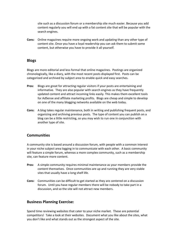site such as a discussion forum or a membership site much easier. Because you add content regularly you will end up with a fat content site that will be popular with the search engines.

**Cons:** Online magazines require more ongoing work and updating than any other type of content site. Once you have a loyal readership you can ask them to submit some content, but otherwise you have to provide it all yourself.

#### **Blogs**

Blogs are more editorial and less formal that online magazines. Postings are organized chronologically, like a diary, with the most recent posts displayed first. Posts can be categorized and archived by subject area to enable quick and easy searches.

- **Pros:** Blogs are great for attracting regular visitors if your posts are entertaining and informative. They are also popular with search engines as they have frequently updated content and attract incoming links easily. This makes them excellent tools for AdSense and affiliate marketing profits. Blogs are cheap and simple to develop on one of the many blogging networks available on the web today.
- **Cons:** A blog takes regular maintenance, both in writing and publishing frequent posts, and organizing and archiving previous posts. The type of content you can publish on a blog can be a little restricting, so you may wish to run one in conjunction with another type of site.

#### **Communities**

A community site is based around a discussion forum, with people with a common interest in your niche subject area logging in to communicate with each other. A basic community will feature a simple forum, whereas a more complex community, such as a membership site, can feature more content.

- **Pros:** A simple community requires minimal maintenance as your members provide the content themselves. Once communities are up and running they are very stable sites that usually have a long shelf life.
- **Cons:** Communities can be difficult to get started as they are centered on a discussion forum. Until you have regular members there will be nobody to take part in a discussion, and so the site will not attract new members.

#### **Business Planning Exercise:**

Spend time reviewing websites that cater to your niche market. These are potential competitors! Take a look at their websites. Document what you like about the sites, what you don't like and what stands out as the strongest aspect of the site.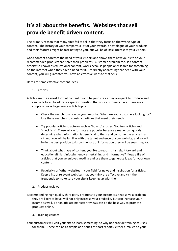## **It's all about the benefits. Websites that sell provide benefit driven content.**

The primary reason that many sites fail to sell is that they focus on the wrong type of content. The history of your company, a list of your awards, or catalogue of your products and their features might be fascinating to you, but will be of little interest to your visitors.

Good content addresses the need of your visitors and shows them how your site or your recommended products can solve their problems. Customer problem focused content, otherwise known as educational content, works because people only search for something on the internet when they have a need for it. By directly addressing that need with your content, you will guarantee you have an effective website that sells.

Here are some effective content ideas:

- 1. Articles
- Articles are the easiest form of content to add to your site as they are quick to produce and can be tailored to address a specific question that your customers have. Here are a couple of ways to generate article topics:
	- Check the search function on your website. What are your customers looking for? Use these searches to construct articles that meet their needs.
	- Try popular article structures such as 'how to' articles, 'top ten' articles and 'checklists'. These article formats are popular because a reader can quickly determine what information is beneficial to them and consume the article in a sitting. You will be familiar with the target audience of your website, and so will be in the best position to know the sort of information they will be searching for.
	- Think about what type of content you like to read. Is it straightforward and educational? Is it infotainment – entertaining and informative? Keep a file of articles that you've enjoyed reading and use them to generate ideas for your own content.
	- Regularly surf other websites in your field for news and inspiration for articles. Keep a list of relevant websites that you think are effective and visit them frequently to make sure your site is keeping up with them.
	- 2. Product reviews
- Recommending high quality third party products to your customers, that solve a problem they are likely to have, will not only increase your credibility but can increase your income as well. For an affiliate marketer reviews can be the best way to promote products online.
	- 3. Training courses

Your customers will visit your site to learn something, so why not provide training courses for them? These can be as simple as a series of short reports, either e-mailed to your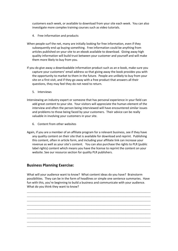customers each week, or available to download from your site each week. You can also investigate more complex training courses such as video tutorials.

- 4. Free information and products
- When people surf the net, many are initially looking for free information, even if they subsequently end up buying something. Free information could be anything from articles published on your site to an ebook available to download. Giving away high quality information will build trust between your customer and yourself and will make them more likely to buy from you.
- If you do give away a downloadable information product such as an e-book, make sure you capture your customers' email address so that giving away the book provides you with the opportunity to market to them in the future. People are unlikely to buy from your site on a first visit, and if they go away with a free product that answers all their questions, they may feel they do not need to return.
	- 5. Interviews
- Interviewing an industry expert or someone that has personal experience in your field can add great content to your site. Your visitors will appreciate the human element of the interview and often the person being interviewed will have encountered similar issues and problems to those being faced by your customers. Their advice can be really valuable in involving your customers in your site.
	- 6. Content from other websites
- Again, if you are a member of an affiliate program for a relevant business, see if they have any quality content on their site that is available for download and reprint. Publishing this content, often in article form, and including your affiliate link can increase your revenue as well as your site's content. You can also purchase the rights to PLR (public label rights) content which means you have the license to reprint the content on your website. See our resource section for quality PLR publishers.

#### **Business Planning Exercise:**

What will your audience want to know? What content ideas do you have? Brainstorm possibilities. They can be in the form of headlines or simple one sentence summaries. Have fun with this, you're beginning to build a business and communicate with your audience. What do you think they want to know?

 $\mathcal{L}_\mathcal{L} = \mathcal{L}_\mathcal{L} = \mathcal{L}_\mathcal{L} = \mathcal{L}_\mathcal{L} = \mathcal{L}_\mathcal{L} = \mathcal{L}_\mathcal{L} = \mathcal{L}_\mathcal{L} = \mathcal{L}_\mathcal{L} = \mathcal{L}_\mathcal{L} = \mathcal{L}_\mathcal{L} = \mathcal{L}_\mathcal{L} = \mathcal{L}_\mathcal{L} = \mathcal{L}_\mathcal{L} = \mathcal{L}_\mathcal{L} = \mathcal{L}_\mathcal{L} = \mathcal{L}_\mathcal{L} = \mathcal{L}_\mathcal{L}$  $\mathcal{L}_\mathcal{L} = \mathcal{L}_\mathcal{L} = \mathcal{L}_\mathcal{L} = \mathcal{L}_\mathcal{L} = \mathcal{L}_\mathcal{L} = \mathcal{L}_\mathcal{L} = \mathcal{L}_\mathcal{L} = \mathcal{L}_\mathcal{L} = \mathcal{L}_\mathcal{L} = \mathcal{L}_\mathcal{L} = \mathcal{L}_\mathcal{L} = \mathcal{L}_\mathcal{L} = \mathcal{L}_\mathcal{L} = \mathcal{L}_\mathcal{L} = \mathcal{L}_\mathcal{L} = \mathcal{L}_\mathcal{L} = \mathcal{L}_\mathcal{L}$  $\mathcal{L}_\text{max} = \frac{1}{2} \sum_{i=1}^n \mathcal{L}_\text{max}(\mathbf{z}_i - \mathbf{z}_i)$  $\mathcal{L}_\text{max} = \frac{1}{2} \sum_{i=1}^n \mathcal{L}_\text{max}(\mathbf{z}_i - \mathbf{z}_i)$  $\mathcal{L}_\text{max} = \frac{1}{2} \sum_{i=1}^n \mathcal{L}_\text{max}(\mathbf{z}_i - \mathbf{z}_i)$  $\mathcal{L}_\text{max} = \frac{1}{2} \sum_{i=1}^n \mathcal{L}_\text{max}(\mathbf{z}_i - \mathbf{z}_i)$  $\mathcal{L}_\text{max} = \frac{1}{2} \sum_{i=1}^n \mathcal{L}_\text{max}(\mathbf{z}_i - \mathbf{z}_i)$  $\mathcal{L}_\text{max} = \frac{1}{2} \sum_{i=1}^n \mathcal{L}_\text{max}(\mathbf{z}_i - \mathbf{z}_i)$  $\mathcal{L}_\text{max} = \frac{1}{2} \sum_{i=1}^n \mathcal{L}_\text{max}(\mathbf{z}_i - \mathbf{z}_i)$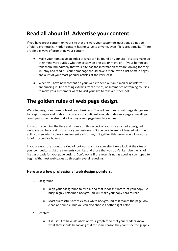## **Read all about it! Advertise your content.**

If you have great content on your site that answers your customers questions do not be afraid to promote it. Hidden content has no value to anyone, even if it is great quality. There are simple ways of promoting your content:

- Make your homepage an index of what can be found on your site. Visitors make up their mind very quickly whether to stay on one site or move on. If your homepage tells them immediately that your site has the information they are looking for they will stay and read it. Your homepage should have a menu with a list of main pages, and a list of your most popular articles at the very least.
- When you have new content on your website send out an e-mail or newsletter announcing it. Use teasing extracts from articles, or summaries of training courses to make your customers want to visit your site to take a further look.

## **The golden rules of web page design.**

Website design can make or break your business. The golden rules of web page design are to keep it simple and usable. If you are not confident enough to design a page yourself you could pay someone else to do it or buy a web page template online.

It is worth spending the time and money on this aspect of your site as a badly designed webpage can be a real turn off for your customers. Some people are not blessed with the ability to see which colors complement each other, but getting this wrong could lose you a lot of prospective buyers.

If you are not sure about the kind of look you want for your site, take a look at the sites of your competitors. List the elements you like, and those that you don't like. Use the list of likes as a basis for your page design. Don't worry if the result is not as good as you hoped to begin with, most web pages go through several redesigns.

#### **Here are a few professional web design pointers:**

- 1. Background
	- Keep your background fairly plain so that it doesn't interrupt your copy. A busy, highly patterned background will make your copy hard to read.
	- Most successful sites stick to a white background as it makes the page look clean and simple, but you can also choose another light color.
- 2. Graphics
	- It is useful to have alt labels on your graphics so that your readers know what they should be looking at if for some reason they can't see the graphic.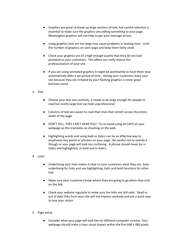- Graphics are great to break up large sections of text, but careful selection is essential to make sure the graphics are adding something to your page. Meaningless graphics will not help to get your message across.
- Using graphics that are too large may cause problems in loading time. Limit the number of graphics on each page and keep them fairly small.
- Check your graphics are of a high enough quality that they do not look pixelated to your customers. This effect can really reduce the professionalism of your site.
- If you are using animated graphics it might be worthwhile to have them stop automatically after a set period of time. Having your customers leave your site because they are irritated by your flashing graphics is never good business sense.
- 3. Text
	- Choose your text size carefully, it needs to be large enough for people to read but overly large text can look unprofessional.
	- Columns of text are easier to read than lines that stretch across the entire width of the page.
	- DON'T YELL, THEY CAN'T HEAR YOU! Try to avoid using all CAPS on your webpage as this translates as shouting on the web.
	- Highlighting words and using bold or italics can be an effective way to emphasize key points or phrases on your page. Be careful not to overdo it though or your page will look too confusing. A phrase should never be in italics and highlighted, or bold and in italics.
- 4. Links
	- Underlining your links makes it clear to your customers what they are. Save underlining for links and use highlighting, italic and bold functions for other text.
	- Make sure your customers know where they are going to go when they click on the link.
	- Check your website regularly to make sure the links are still valid. Dead or out of date links from your site will not impress anybody and are a quick way to lose your visitor.
- 5. Page setup
	- Consider what your page will look like on different computer screens. Your webpage should make a clear visual impact within the first 640 x 460 pixels.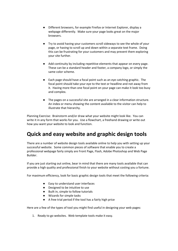- Different browsers, for example Firefox or Internet Explorer, display a webpage differently. Make sure your page looks great on the major browsers.
- Try to avoid having your customers scroll sideways to see the whole of your page, or having to scroll up and down within a separate text frame. Doing this can be frustrating for your customers and may prevent them exploring your site further.
- Add continuity by including repetitive elements that appear on every page. These can be a standard header and footer, a company logo, or simply the same color scheme.
- Each page should have a focal point such as an eye catching graphic. The focal point should take your eye to the text or headline and not away from it. Having more than one focal point on your page can make it look too busy and complex.
- The pages on a successful site are arranged in a clear information structure. An index or menu showing the content available to the visitor can help to illustrate that hierarchy.

Planning Exercise: Brainstorm and/or draw what your website might look like. You can write it in any form that works for you. Use a flowchart, a freehand drawing or write out how you want your website to look and function.

## **Quick and easy website and graphic design tools**

There are a number of website design tools available online to help you with setting up your successful website. Some common pieces of software that enable you to create a professional webpage fairly simply are Front Page, Flash, Adobe Photoshop and Web Page Builder.

If you are just starting out online, bear in mind that there are many tools available that can provide a high quality and professional finish to your website without costing you a fortune.

For maximum efficiency, look for basic graphic design tools that meet the following criteria:

- Easy to understand user interfaces
- Designed to be intuitive to use
- Built in, simple to follow tutorials
- Wizards for simple tasks
- A free trial period if the tool has a fairly high price

Here are a few of the types of tool you might find useful in designing your web pages:

1. Ready to go websites. Web template tools make it easy.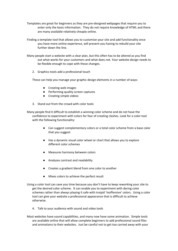- Templates are great for beginners as they are pre-designed webpages that require you to enter only the basic information. They do not require knowledge of HTML and there are many available relatively cheaply online.
- Finding a template tool that allows you to customize your site and add functionality once you have more online experience, will prevent you having to rebuild your site further down the line.
- Many people start a website with a clear plan, but this often has to be altered as you find out what works for your customers and what does not. Your website design needs to be flexible enough to cope with these changes.
	- 2. Graphics tools add a professional touch

These can help you manage your graphic design elements in a number of ways:

- Creating web images
- Performing quality screen captures
- Creating simple videos
- 3. Stand out from the crowd with color tools

Many people find it difficult to establish a winning color scheme and do not have the confidence to experiment with colors for fear of creating clashes. Look for a color tool with the following functionality:

- Can suggest complementary colors or a total color scheme from a base color that you suggest
- Has a dynamic visual color wheel or chart that allows you to explore different color schemes
- Measures harmony between colors
- Analyzes contrast and readability
- Creates a gradient blend from one color to another
- Mixes colors to achieve the perfect result
- Using a color tool can save you time because you don't have to keep reworking your site to get the desired color scheme. It can enable you to experiment with daring color schemes rather than always playing it safe with insipid 'inoffensive' colors. Using a color tool can give your website a professional appearance that is difficult to achieve otherwise.
	- 4. Talk to your audience with sound and video tools
- Most websites have sound capabilities, and many now have some animation. Simple tools are available online that will allow complete beginners to add professional sound files and animations to their websites. Just be careful not to get too carried away with your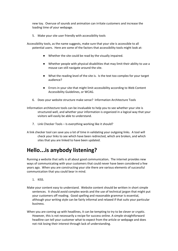new toy. Overuse of sounds and animation can irritate customers and increase the loading time of your webpage.

5. Make your site user friendly with accessibility tools

Accessibility tools, as the name suggests, make sure that your site is accessible to all potential users. Here are some of the factors that accessibility tools might look at:

- Whether the site could be read by the visually impaired.
- Whether people with physical disabilities that may limit their ability to use a mouse can still navigate around the site.
- What the reading level of the site is. Is the text too complex for your target audience?
- Errors in your site that might limit accessibility according to Web Content Accessibility Guidelines, or WCAG.
- 6. Does your website structure make sense? Information Architecture Tools

Information architecture tools can be invaluable to help you to see whether your site is structured well, and whether your information is organized in a logical way that your visitors will easily be able to understand.

- 7. Link Checker Tools Is everything working like it should?
- A link checker tool can save you a lot of time in validating your outgoing links. A tool will check your links to see which have been redirected, which are broken, and which sites that you are linked to have been updated.

## **Hello**…**is anybody listening?**

Running a website that sells is all about good communication**.** The internet provides new ways of communicating with your customers that could never have been considered a few years ago. When you are constructing your site there are various elements of successful communication that you could bear in mind.

- 1. KISS.
- Make your content easy to understand. Website content should be written in short simple sentences. It should avoid complex words and the use of technical jargon that might put your customers off reading. Good spelling and reasonable grammar is essential, although your writing style can be fairly informal and relaxed if that suits your particular business.
- When you are coming up with headlines, it can be tempting to try to be clever or cryptic. However, this is not necessarily a recipe for success online. A simple straightforward headline can tell your customer what to expect from the article or webpage and does not risk losing their interest through lack of understanding.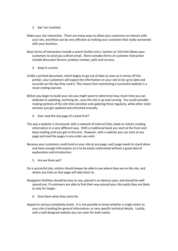- 2. Get 'em involved.
- Make your site interactive. There are many ways to allow your customers to interact with your site, and these can be very effective at making your customers feel really connected with your business.
- Basic forms of interaction include a search facility and a 'contact us' link that allows your customers to send you a direct email. More complex forms of customer interaction include discussion forums, product reviews, polls and surveys.
	- 3. Keep it current.
- Unlike a printed document, which begins to go out of date as soon as it comes off the printer, your customers will expect the information on your site to be up to date and accurate on the day they read it. This means that maintaining a successful website is a never ending exercise.
- Before you begin to build your site you might want to determine how much time you can dedicate to updating, archiving etc. once the site is up and running. You could consider making sections of the site time sensitive and updating these regularly, while other static sections just get updated and refreshed annually.
	- 4. Ever read the last page of a book first?
- The way a website is structured, with a network of internal links, leads to visitors reading information in a very different way. With a traditional book you start at the front and keep reading until you get to the end. However, with a website you can start at any page and read the pages in any order you wish.
- Because your customers could land on your site at any page, each page needs to stand alone and have enough information on it to be easily understood without a great deal of explanation and introduction.
	- 5. Are we there yet?
- On a successful site, visitors should always be able to see where they are on the site, and where any links on that page will take them to.
- Navigation facilities should be easy to use, placed in an obvious spot, and should be well spaced out. If customers are able to find their way around your site easily they are likely to stay for longer.
	- 6. Give them what they came for.
- Appeal to various complexity levels. It is not possible to know whether a single visitor to your site is looking for general information, or very specific technical details. Luckily, with a well designed website you can cater for both needs.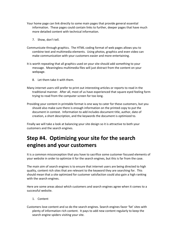- Your home page can link directly to some main pages that provide general essential information. These pages could contain links to further, deeper pages that have much more detailed content with technical information.
	- 7. Show, don't tell.
- Communicate through graphics. The HTML coding format of web pages allows you to combine text and multimedia elements. Using photos, graphics and even video can make communication with your customers easier and more entertaining.
- It is worth repeating that all graphics used on your site should add something to your message. Meaningless multimedia files will just distract from the content on your webpage.
	- 8. Let them take it with them.
- Many internet users still prefer to print out interesting articles or reports to read in the traditional manner. After all, most of us have experienced that square eyed feeling form trying to read from the computer screen for too long.
- Providing your content in printable format is one way to cater for these customers, but you should also make sure there is enough information on the printed copy to put the document in context. Information to add includes document title, author, date of creation, a short description, and the keywords the document is optimized to.

Finally we will take a look at balancing your site design so it is attractive to both your customers and the search engines.

## **Step #4. Optimizing your site for the search engines and your customers**

It is a common misconception that you have to sacrifice some customer focused elements of your website in order to optimize it for the search engines, but this is far from the case.

The main aim of search engines is to ensure that internet users are being directed to high quality, content rich sites that are relevant to the keyword they are searching for. This should mean that a site optimized for customer satisfaction could also gain a high ranking with the search engines.

Here are some areas about which customers and search engines agree when it comes to a successful website.

1. Content

Customers love content and so do the search engines. Search engines favor 'fat' sites with plenty of information rich content. It pays to add new content regularly to keep the search engine spiders visiting your site.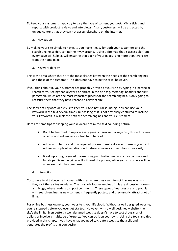- To keep your customers happy try to vary the type of content you post. Mix articles and reports with product reviews and interviews. Again, customers will be attracted by unique content that they can not access elsewhere on the internet.
	- 2. Navigation
- By making your site simple to navigate you make it easy for both your customers and the search engine spiders to find their way around. Using a site map that is accessible from every page will help, as will ensuring that each of your pages is no more than two clicks from the home page.
	- 3. Keyword density
- This is the area where there are the most clashes between the needs of the search engines and those of the customer. This does not have to be the case, however.
- If you think about it, your customer has probably arrived at your site by typing in a particular search term. Seeing that keyword or phrase in the title tag, meta tag, headers and first paragraph, which are the most important places for the search engines, is only going to reassure them that they have reached a relevant site.
- The secret of keyword density is to keep your text natural sounding. You can use your keyword in the text several times, but as long as it is not obviously contrived to include your keywords, it will please both the search engines and your customers.

Here are some tips for keeping your keyword optimized text sounding natural:

- Don't be tempted to replace every generic term with a keyword; this will be very obvious and will make your text hard to read.
- Add a word to the end of a keyword phrase to make it easier to use in your text. Adding a couple of variations will naturally make your text flow more easily.
- Break up a long keyword phrase using punctuation marks such as commas and full stops. Search engines will still read the phrase, while your customers will be unaware that it has been used.
- 4. Interaction
- Customers tend to become involved with sites where they can interact in some way, and they visit these sites regularly. The most obvious examples of this are discussion forums and blogs, where readers can post comments. These types of features are also popular with search engines as new content is frequently posted, and they usually attract a lot of links.

For online business owners, your website is your lifeblood. Without a well designed website, you're stopped before you ever get started. However, with a well designed website, the sky's the limit. Even better, a well designed website doesn't have to cost thousands of dollars or involve a multitude of experts. You can do it on your own. Using the tools and tips provided in this chapter, you have what you need to create a website that sells and generates the profits that you desire.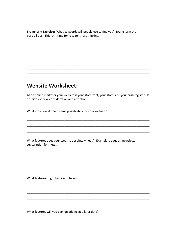Brainstorm Exercise: What keywords will people use to find you? Brainstorm the possibilities. This isn't time for research, just thinking.

## **Website Worksheet:**

As an online marketer your website is your storefront, your store, and your cash register. It deserves special consideration and attention.

What are a few domain name possibilities for your website?

What features does your website absolutely need? Example, about us, newsletter subscription form etc...

What features might be nice to have?

What features will you plan on adding at a later date?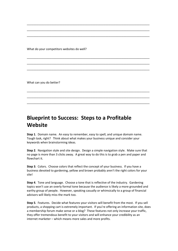What do your competitors websites do well?

What can you do better?

## **Blueprint to Success: Steps to a Profitable Website**

**Step 1**. Domain name. An easy to remember, easy to spell, and unique domain name. Tough task, right? Think about what makes your business unique and consider your keywords when brainstorming ideas.

\_\_\_\_\_\_\_\_\_\_\_\_\_\_\_\_\_\_\_\_\_\_\_\_\_\_\_\_\_\_\_\_\_\_\_\_\_\_\_\_\_\_\_\_\_\_\_\_\_\_\_\_\_\_\_\_\_\_\_\_\_\_\_\_\_\_\_\_\_\_\_\_\_\_\_ \_\_\_\_\_\_\_\_\_\_\_\_\_\_\_\_\_\_\_\_\_\_\_\_\_\_\_\_\_\_\_\_\_\_\_\_\_\_\_\_\_\_\_\_\_\_\_\_\_\_\_\_\_\_\_\_\_\_\_\_\_\_\_\_\_\_\_\_\_\_\_\_\_\_\_ \_\_\_\_\_\_\_\_\_\_\_\_\_\_\_\_\_\_\_\_\_\_\_\_\_\_\_\_\_\_\_\_\_\_\_\_\_\_\_\_\_\_\_\_\_\_\_\_\_\_\_\_\_\_\_\_\_\_\_\_\_\_\_\_\_\_\_\_\_\_\_\_\_\_\_

\_\_\_\_\_\_\_\_\_\_\_\_\_\_\_\_\_\_\_\_\_\_\_\_\_\_\_\_\_\_\_\_\_\_\_\_\_\_\_\_\_\_\_\_\_\_\_\_\_\_\_\_\_\_\_\_\_\_\_\_\_\_\_\_\_\_\_\_\_\_\_\_\_\_\_ \_\_\_\_\_\_\_\_\_\_\_\_\_\_\_\_\_\_\_\_\_\_\_\_\_\_\_\_\_\_\_\_\_\_\_\_\_\_\_\_\_\_\_\_\_\_\_\_\_\_\_\_\_\_\_\_\_\_\_\_\_\_\_\_\_\_\_\_\_\_\_\_\_\_\_ \_\_\_\_\_\_\_\_\_\_\_\_\_\_\_\_\_\_\_\_\_\_\_\_\_\_\_\_\_\_\_\_\_\_\_\_\_\_\_\_\_\_\_\_\_\_\_\_\_\_\_\_\_\_\_\_\_\_\_\_\_\_\_\_\_\_\_\_\_\_\_\_\_\_\_

\_\_\_\_\_\_\_\_\_\_\_\_\_\_\_\_\_\_\_\_\_\_\_\_\_\_\_\_\_\_\_\_\_\_\_\_\_\_\_\_\_\_\_\_\_\_\_\_\_\_\_\_\_\_\_\_\_\_\_\_\_\_\_\_\_\_\_\_\_\_\_\_\_\_\_ \_\_\_\_\_\_\_\_\_\_\_\_\_\_\_\_\_\_\_\_\_\_\_\_\_\_\_\_\_\_\_\_\_\_\_\_\_\_\_\_\_\_\_\_\_\_\_\_\_\_\_\_\_\_\_\_\_\_\_\_\_\_\_\_\_\_\_\_\_\_\_\_\_\_\_ \_\_\_\_\_\_\_\_\_\_\_\_\_\_\_\_\_\_\_\_\_\_\_\_\_\_\_\_\_\_\_\_\_\_\_\_\_\_\_\_\_\_\_\_\_\_\_\_\_\_\_\_\_\_\_\_\_\_\_\_\_\_\_\_\_\_\_\_\_\_\_\_\_\_\_

**Step 2**. Navigation style and site design. Design a simple navigation style. Make sure that no page is more than 3 clicks away. A great way to do this is to grab a pen and paper and flowchart it.

**Step 3**. Colors. Choose colors that reflect the concept of your business. If you have a business devoted to gardening, yellow and brown probably aren't the right colors for your site!

**Step 4**. Tone and language. Choose a tone that is reflective of the industry. Gardening topics won't use an overly formal tone because the audience is likely a more grounded and earthy group of people. However, speaking casually or whimsically to a group of financial advisors will likely miss the mark too.

**Step 5**. Features. Decide what features your visitors will benefit from the most. If you sell products, a shopping cart is extremely important. If you're offering an information site, does a membership forum make sense or a blog? These features not only increase your traffic, they offer tremendous benefit to your visitors and will enhance your credibility as an internet marketer – which means more sales and more profits.